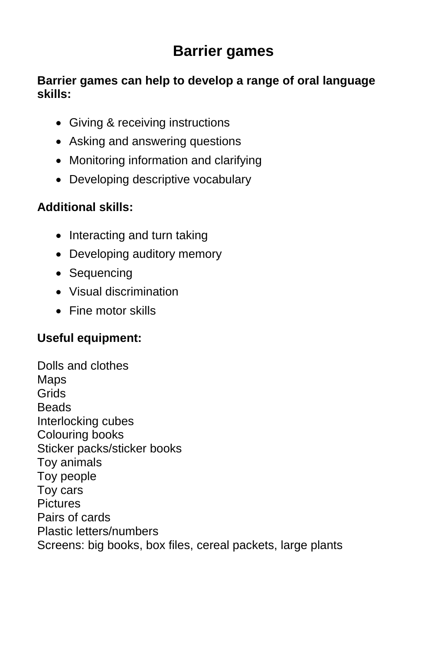# **Barrier games**

#### **Barrier games can help to develop a range of oral language skills:**

- Giving & receiving instructions
- Asking and answering questions
- Monitoring information and clarifying
- Developing descriptive vocabulary

# **Additional skills:**

- Interacting and turn taking
- Developing auditory memory
- Sequencing
- Visual discrimination
- Fine motor skills

# **Useful equipment:**

Dolls and clothes Maps Grids Beads Interlocking cubes Colouring books Sticker packs/sticker books Toy animals Toy people Toy cars **Pictures** Pairs of cards Plastic letters/numbers Screens: big books, box files, cereal packets, large plants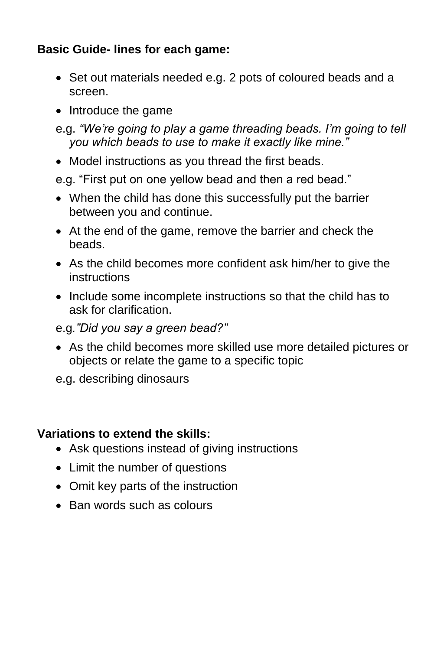## **Basic Guide- lines for each game:**

- Set out materials needed e.g. 2 pots of coloured beads and a screen.
- Introduce the game
- e.g. *"We're going to play a game threading beads. I'm going to tell you which beads to use to make it exactly like mine."*
- Model instructions as you thread the first beads.
- e.g. "First put on one yellow bead and then a red bead."
- When the child has done this successfully put the barrier between you and continue.
- At the end of the game, remove the barrier and check the beads.
- As the child becomes more confident ask him/her to give the instructions
- Include some incomplete instructions so that the child has to ask for clarification.

e.g*."Did you say a green bead?"* 

- As the child becomes more skilled use more detailed pictures or objects or relate the game to a specific topic
- e.g. describing dinosaurs

### **Variations to extend the skills:**

- Ask questions instead of giving instructions
- Limit the number of questions
- Omit key parts of the instruction
- Ban words such as colours